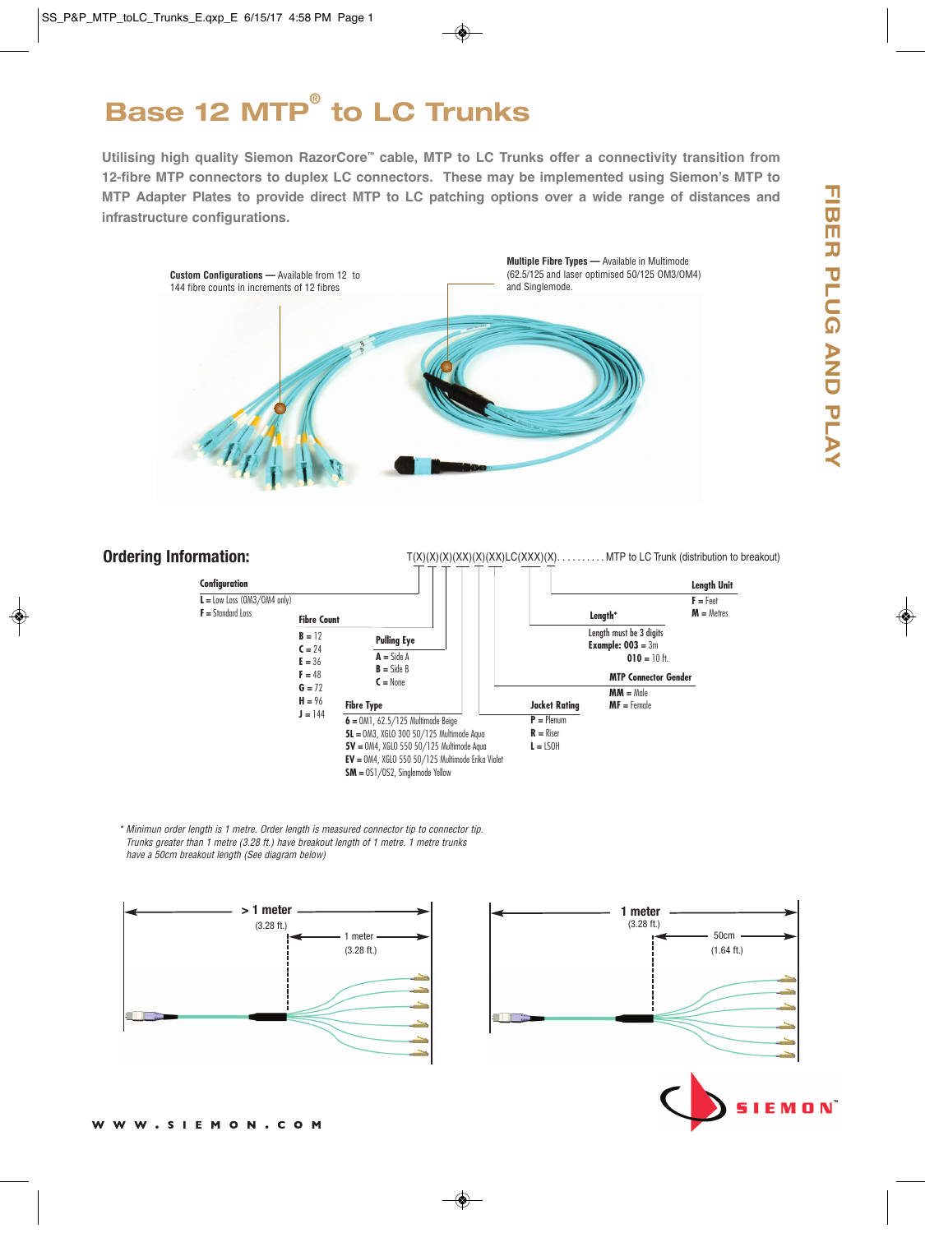# **Base 12 MTP® to LC Trunks**

**Utilising high quality Siemon RazorCore™ cable, MTP to LC Trunks offer a connectivity transition from 12-fibre MTP connectors to duplex LC connectors. These may be implemented using Siemon's MTP to MTP Adapter Plates to provide direct MTP to LC patching options over a wide range of distances and infrastructure configurations.**



## **Ordering Information:**

 $T(X)(X)(X)(X)(X)(XX)(C(XXX)(X))$ . . . . . . . . . . MTP to LC Trunk (distribution to breakout) **Fibre Count B =** 12  $C = 24$ **E =** 36  $F = 48$  $G = 72$ **H =** 96  $J = 144$ **Pulling Eye A =** Side A **B =** Side B **C =** None **Fibre Type MM =** Male **MF =** Female **MTP Connector Gender Length\* Jacket Rating P =** Plenum **R =** Riser  $L =$  LSOH **Length Unit F =** Feet **M =** Metres **Configuration L =** Low Loss (OM3/OM4 only) **F =** Standard Loss Length must be 3 digits **Example: 003 =** 3m **010 =** 10 ft. **6 =** OM1, 62.5/125 Multimode Beige **5L =** OM3, XGLO 300 50/125 Multimode Aqua **5V =** OM4, XGLO 550 50/125 Multimode Aqua **EV =** OM4, XGLO 550 50/125 Multimode Erika Violet **SM =** OS1/OS2, Singlemode Yellow

\* Minimun order length is 1 metre. Order length is measured connector tip to connector tip. Trunks greater than 1 metre (3.28 ft.) have breakout length of 1 metre. 1 metre trunks have a 50cm breakout length (See diagram below)